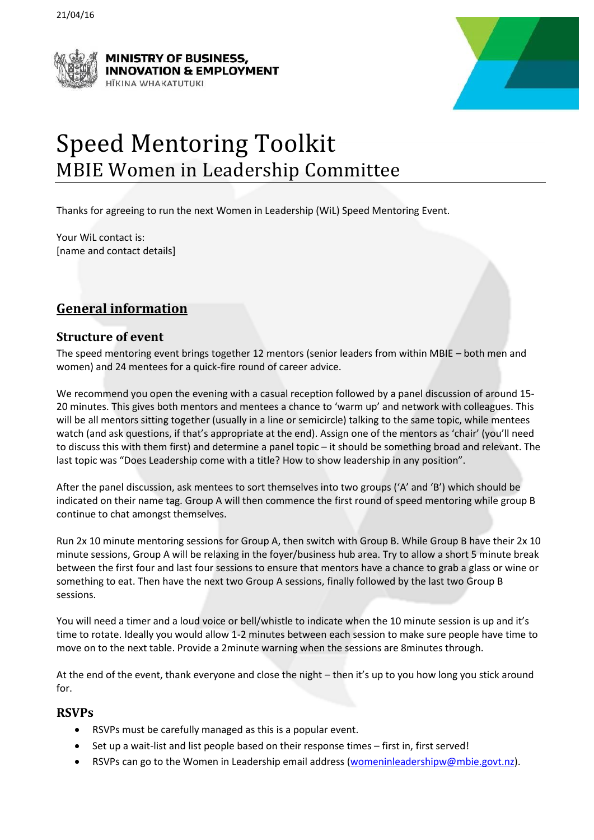



# Speed Mentoring Toolkit MBIE Women in Leadership Committee

Thanks for agreeing to run the next Women in Leadership (WiL) Speed Mentoring Event.

Your WiL contact is: [name and contact details]

# **General information**

#### **Structure of event**

The speed mentoring event brings together 12 mentors (senior leaders from within MBIE – both men and women) and 24 mentees for a quick-fire round of career advice.

We recommend you open the evening with a casual reception followed by a panel discussion of around 15- 20 minutes. This gives both mentors and mentees a chance to 'warm up' and network with colleagues. This will be all mentors sitting together (usually in a line or semicircle) talking to the same topic, while mentees watch (and ask questions, if that's appropriate at the end). Assign one of the mentors as 'chair' (you'll need to discuss this with them first) and determine a panel topic – it should be something broad and relevant. The last topic was "Does Leadership come with a title? How to show leadership in any position".

After the panel discussion, ask mentees to sort themselves into two groups ('A' and 'B') which should be indicated on their name tag. Group A will then commence the first round of speed mentoring while group B continue to chat amongst themselves.

Run 2x 10 minute mentoring sessions for Group A, then switch with Group B. While Group B have their 2x 10 minute sessions, Group A will be relaxing in the foyer/business hub area. Try to allow a short 5 minute break between the first four and last four sessions to ensure that mentors have a chance to grab a glass or wine or something to eat. Then have the next two Group A sessions, finally followed by the last two Group B sessions.

You will need a timer and a loud voice or bell/whistle to indicate when the 10 minute session is up and it's time to rotate. Ideally you would allow 1-2 minutes between each session to make sure people have time to move on to the next table. Provide a 2minute warning when the sessions are 8minutes through.

At the end of the event, thank everyone and close the night – then it's up to you how long you stick around for.

#### **RSVPs**

- RSVPs must be carefully managed as this is a popular event.
- Set up a wait-list and list people based on their response times first in, first served!
- RSVPs can go to the Women in Leadership email address [\(womeninleadershipw@mbie.govt.nz\)](mailto:womeninleadershipw@mbie.govt.nz).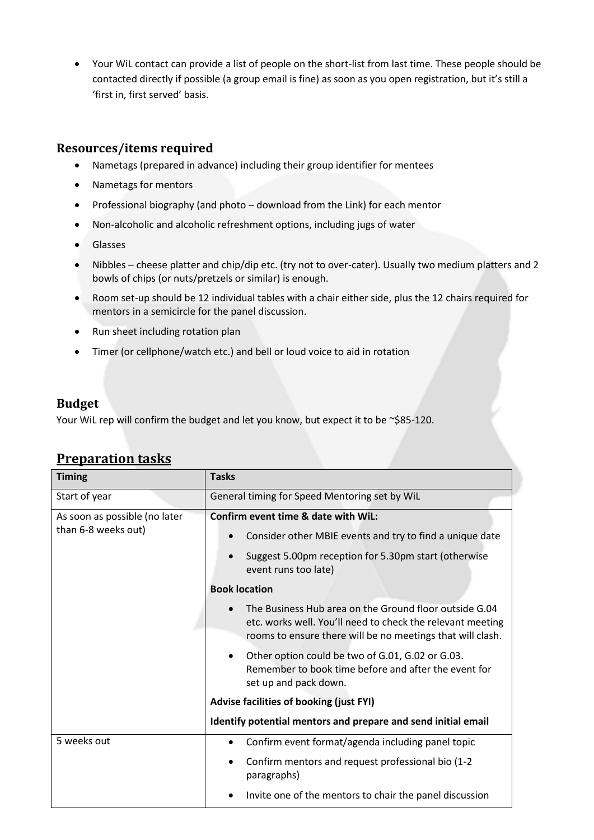Your WiL contact can provide a list of people on the short-list from last time. These people should be contacted directly if possible (a group email is fine) as soon as you open registration, but it's still a 'first in, first served' basis.

#### **Resources/items required**

- Nametags (prepared in advance) including their group identifier for mentees
- Nametags for mentors
- Professional biography (and photo download from the Link) for each mentor
- Non-alcoholic and alcoholic refreshment options, including jugs of water
- **Glasses**
- Nibbles cheese platter and chip/dip etc. (try not to over-cater). Usually two medium platters and 2 bowls of chips (or nuts/pretzels or similar) is enough.
- Room set-up should be 12 individual tables with a chair either side, plus the 12 chairs required for mentors in a semicircle for the panel discussion.
- Run sheet including rotation plan
- Timer (or cellphone/watch etc.) and bell or loud voice to aid in rotation

#### **Budget**

Your WiL rep will confirm the budget and let you know, but expect it to be ~\$85-120.

| <b>Timing</b>                                        | <b>Tasks</b>                                                                                                                                                                                                                                                                                                                                                                                                                                                |
|------------------------------------------------------|-------------------------------------------------------------------------------------------------------------------------------------------------------------------------------------------------------------------------------------------------------------------------------------------------------------------------------------------------------------------------------------------------------------------------------------------------------------|
| Start of year                                        | General timing for Speed Mentoring set by WiL                                                                                                                                                                                                                                                                                                                                                                                                               |
| As soon as possible (no later<br>than 6-8 weeks out) | Confirm event time & date with WiL:<br>Consider other MBIE events and try to find a unique date<br>Suggest 5.00pm reception for 5.30pm start (otherwise<br>event runs too late)                                                                                                                                                                                                                                                                             |
|                                                      | <b>Book location</b><br>The Business Hub area on the Ground floor outside G.04<br>etc. works well. You'll need to check the relevant meeting<br>rooms to ensure there will be no meetings that will clash.<br>Other option could be two of G.01, G.02 or G.03.<br>Remember to book time before and after the event for<br>set up and pack down.<br>Advise facilities of booking (just FYI)<br>Identify potential mentors and prepare and send initial email |
| 5 weeks out                                          | Confirm event format/agenda including panel topic<br>Confirm mentors and request professional bio (1-2<br>$\bullet$<br>paragraphs)<br>Invite one of the mentors to chair the panel discussion                                                                                                                                                                                                                                                               |

## **Preparation tasks**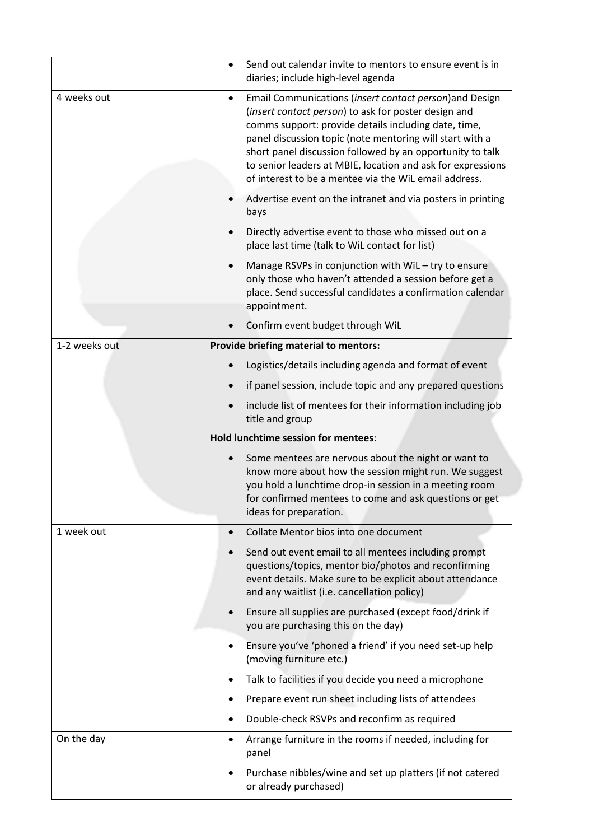|               |                                     | Send out calendar invite to mentors to ensure event is in<br>diaries; include high-level agenda                                                                                                                                                                                                                                                                                                                          |  |
|---------------|-------------------------------------|--------------------------------------------------------------------------------------------------------------------------------------------------------------------------------------------------------------------------------------------------------------------------------------------------------------------------------------------------------------------------------------------------------------------------|--|
| 4 weeks out   | $\bullet$                           | Email Communications (insert contact person) and Design<br>(insert contact person) to ask for poster design and<br>comms support: provide details including date, time,<br>panel discussion topic (note mentoring will start with a<br>short panel discussion followed by an opportunity to talk<br>to senior leaders at MBIE, location and ask for expressions<br>of interest to be a mentee via the WiL email address. |  |
|               |                                     | Advertise event on the intranet and via posters in printing<br>bays                                                                                                                                                                                                                                                                                                                                                      |  |
|               |                                     | Directly advertise event to those who missed out on a<br>place last time (talk to WiL contact for list)                                                                                                                                                                                                                                                                                                                  |  |
|               |                                     | Manage RSVPs in conjunction with WiL - try to ensure<br>only those who haven't attended a session before get a<br>place. Send successful candidates a confirmation calendar<br>appointment.                                                                                                                                                                                                                              |  |
|               |                                     | Confirm event budget through WiL                                                                                                                                                                                                                                                                                                                                                                                         |  |
| 1-2 weeks out |                                     | <b>Provide briefing material to mentors:</b>                                                                                                                                                                                                                                                                                                                                                                             |  |
|               |                                     | Logistics/details including agenda and format of event                                                                                                                                                                                                                                                                                                                                                                   |  |
|               |                                     | if panel session, include topic and any prepared questions                                                                                                                                                                                                                                                                                                                                                               |  |
|               |                                     | include list of mentees for their information including job<br>title and group                                                                                                                                                                                                                                                                                                                                           |  |
|               | Hold lunchtime session for mentees: |                                                                                                                                                                                                                                                                                                                                                                                                                          |  |
|               |                                     |                                                                                                                                                                                                                                                                                                                                                                                                                          |  |
|               |                                     | Some mentees are nervous about the night or want to<br>know more about how the session might run. We suggest<br>you hold a lunchtime drop-in session in a meeting room<br>for confirmed mentees to come and ask questions or get<br>ideas for preparation.                                                                                                                                                               |  |
| 1 week out    | $\bullet$                           | Collate Mentor bios into one document                                                                                                                                                                                                                                                                                                                                                                                    |  |
|               |                                     | Send out event email to all mentees including prompt<br>questions/topics, mentor bio/photos and reconfirming<br>event details. Make sure to be explicit about attendance<br>and any waitlist (i.e. cancellation policy)                                                                                                                                                                                                  |  |
|               |                                     | Ensure all supplies are purchased (except food/drink if<br>you are purchasing this on the day)                                                                                                                                                                                                                                                                                                                           |  |
|               | $\bullet$                           | Ensure you've 'phoned a friend' if you need set-up help<br>(moving furniture etc.)                                                                                                                                                                                                                                                                                                                                       |  |
|               |                                     | Talk to facilities if you decide you need a microphone                                                                                                                                                                                                                                                                                                                                                                   |  |
|               |                                     | Prepare event run sheet including lists of attendees                                                                                                                                                                                                                                                                                                                                                                     |  |
|               |                                     | Double-check RSVPs and reconfirm as required                                                                                                                                                                                                                                                                                                                                                                             |  |
| On the day    | $\bullet$                           | Arrange furniture in the rooms if needed, including for<br>panel                                                                                                                                                                                                                                                                                                                                                         |  |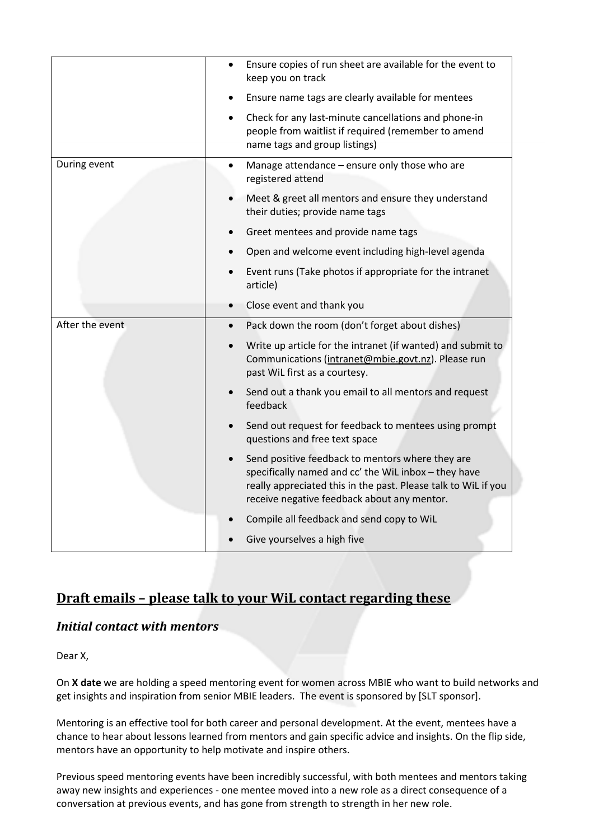|                 | Ensure copies of run sheet are available for the event to<br>keep you on track                                                                                                                                            |
|-----------------|---------------------------------------------------------------------------------------------------------------------------------------------------------------------------------------------------------------------------|
|                 | Ensure name tags are clearly available for mentees                                                                                                                                                                        |
|                 | Check for any last-minute cancellations and phone-in<br>people from waitlist if required (remember to amend<br>name tags and group listings)                                                                              |
| During event    | Manage attendance - ensure only those who are<br>registered attend                                                                                                                                                        |
|                 | Meet & greet all mentors and ensure they understand<br>their duties; provide name tags                                                                                                                                    |
|                 | Greet mentees and provide name tags                                                                                                                                                                                       |
|                 | Open and welcome event including high-level agenda                                                                                                                                                                        |
|                 | Event runs (Take photos if appropriate for the intranet<br>article)                                                                                                                                                       |
|                 | Close event and thank you                                                                                                                                                                                                 |
| After the event | Pack down the room (don't forget about dishes)<br>$\bullet$                                                                                                                                                               |
|                 | Write up article for the intranet (if wanted) and submit to<br>Communications (intranet@mbie.govt.nz). Please run<br>past WiL first as a courtesy.                                                                        |
|                 | Send out a thank you email to all mentors and request<br>feedback                                                                                                                                                         |
|                 | Send out request for feedback to mentees using prompt<br>questions and free text space                                                                                                                                    |
|                 | Send positive feedback to mentors where they are<br>specifically named and cc' the WiL inbox - they have<br>really appreciated this in the past. Please talk to WiL if you<br>receive negative feedback about any mentor. |
|                 | Compile all feedback and send copy to WiL                                                                                                                                                                                 |
|                 | Give yourselves a high five                                                                                                                                                                                               |

## **Draft emails – please talk to your WiL contact regarding these**

#### *Initial contact with mentors*

Dear X,

On **X date** we are holding a speed mentoring event for women across MBIE who want to build networks and get insights and inspiration from senior MBIE leaders. The event is sponsored by [SLT sponsor].

Mentoring is an effective tool for both career and personal development. At the event, mentees have a chance to hear about lessons learned from mentors and gain specific advice and insights. On the flip side, mentors have an opportunity to help motivate and inspire others.

Previous speed mentoring events have been incredibly successful, with both mentees and mentors taking away new insights and experiences - one mentee moved into a new role as a direct consequence of a conversation at previous events, and has gone from strength to strength in her new role.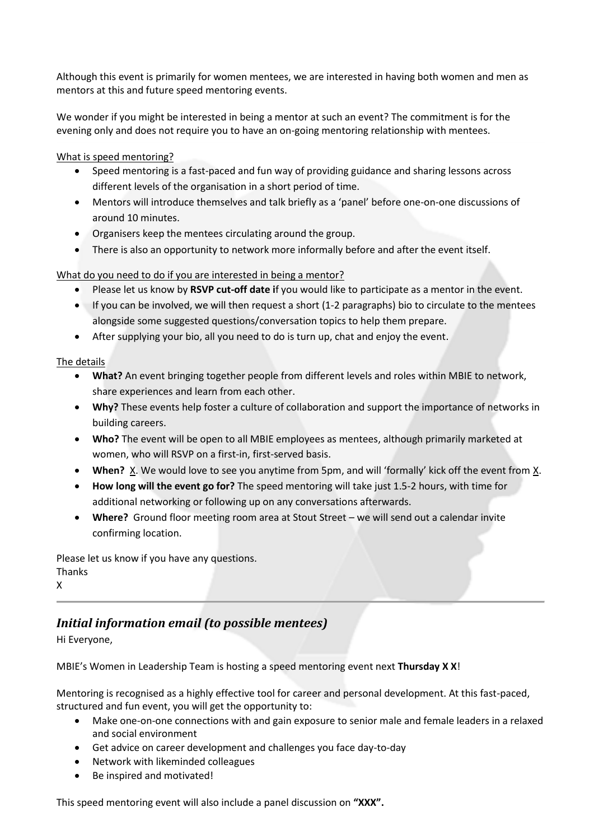Although this event is primarily for women mentees, we are interested in having both women and men as mentors at this and future speed mentoring events.

We wonder if you might be interested in being a mentor at such an event? The commitment is for the evening only and does not require you to have an on-going mentoring relationship with mentees.

What is speed mentoring?

- Speed mentoring is a fast-paced and fun way of providing guidance and sharing lessons across different levels of the organisation in a short period of time.
- Mentors will introduce themselves and talk briefly as a 'panel' before one-on-one discussions of around 10 minutes.
- Organisers keep the mentees circulating around the group.
- There is also an opportunity to network more informally before and after the event itself.

What do you need to do if you are interested in being a mentor?

- Please let us know by **RSVP cut-off date i**f you would like to participate as a mentor in the event.
- If you can be involved, we will then request a short (1-2 paragraphs) bio to circulate to the mentees alongside some suggested questions/conversation topics to help them prepare.
- After supplying your bio, all you need to do is turn up, chat and enjoy the event.

The details

- **What?** An event bringing together people from different levels and roles within MBIE to network, share experiences and learn from each other.
- **Why?** These events help foster a culture of collaboration and support the importance of networks in building careers.
- **Who?** The event will be open to all MBIE employees as mentees, although primarily marketed at women, who will RSVP on a first-in, first-served basis.
- **When?** X. We would love to see you anytime from 5pm, and will 'formally' kick off the event from X.
- **How long will the event go for?** The speed mentoring will take just 1.5-2 hours, with time for additional networking or following up on any conversations afterwards.
- **Where?** Ground floor meeting room area at Stout Street we will send out a calendar invite confirming location.

Please let us know if you have any questions. Thanks X

## *Initial information email (to possible mentees)*

Hi Everyone,

MBIE's Women in Leadership Team is hosting a speed mentoring event next **Thursday X X**!

Mentoring is recognised as a highly effective tool for career and personal development. At this fast-paced, structured and fun event, you will get the opportunity to:

- Make one-on-one connections with and gain exposure to senior male and female leaders in a relaxed and social environment
- Get advice on career development and challenges you face day-to-day
- Network with likeminded colleagues
- Be inspired and motivated!

This speed mentoring event will also include a panel discussion on **"XXX".**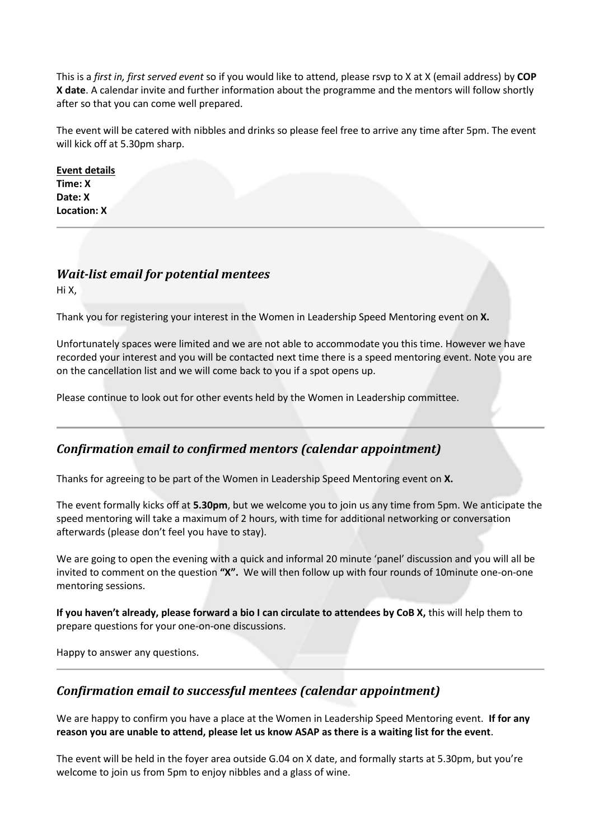This is a *first in, first served event* so if you would like to attend, please rsvp to X at X (email address) by **COP X date**. A calendar invite and further information about the programme and the mentors will follow shortly after so that you can come well prepared.

The event will be catered with nibbles and drinks so please feel free to arrive any time after 5pm. The event will kick off at 5.30pm sharp.

**Event details Time: X Date: X Location: X**

#### *Wait-list email for potential mentees*

Hi X,

Thank you for registering your interest in the Women in Leadership Speed Mentoring event on **X.**

Unfortunately spaces were limited and we are not able to accommodate you this time. However we have recorded your interest and you will be contacted next time there is a speed mentoring event. Note you are on the cancellation list and we will come back to you if a spot opens up.

Please continue to look out for other events held by the Women in Leadership committee.

#### *Confirmation email to confirmed mentors (calendar appointment)*

Thanks for agreeing to be part of the Women in Leadership Speed Mentoring event on **X.**

The event formally kicks off at **5.30pm**, but we welcome you to join us any time from 5pm. We anticipate the speed mentoring will take a maximum of 2 hours, with time for additional networking or conversation afterwards (please don't feel you have to stay).

We are going to open the evening with a quick and informal 20 minute 'panel' discussion and you will all be invited to comment on the question **"X".** We will then follow up with four rounds of 10minute one-on-one mentoring sessions.

**If you haven't already, please forward a bio I can circulate to attendees by CoB X,** this will help them to prepare questions for your one-on-one discussions.

Happy to answer any questions.

#### *Confirmation email to successful mentees (calendar appointment)*

We are happy to confirm you have a place at the Women in Leadership Speed Mentoring event. **If for any reason you are unable to attend, please let us know ASAP as there is a waiting list for the event**.

The event will be held in the foyer area outside G.04 on X date, and formally starts at 5.30pm, but you're welcome to join us from 5pm to enjoy nibbles and a glass of wine.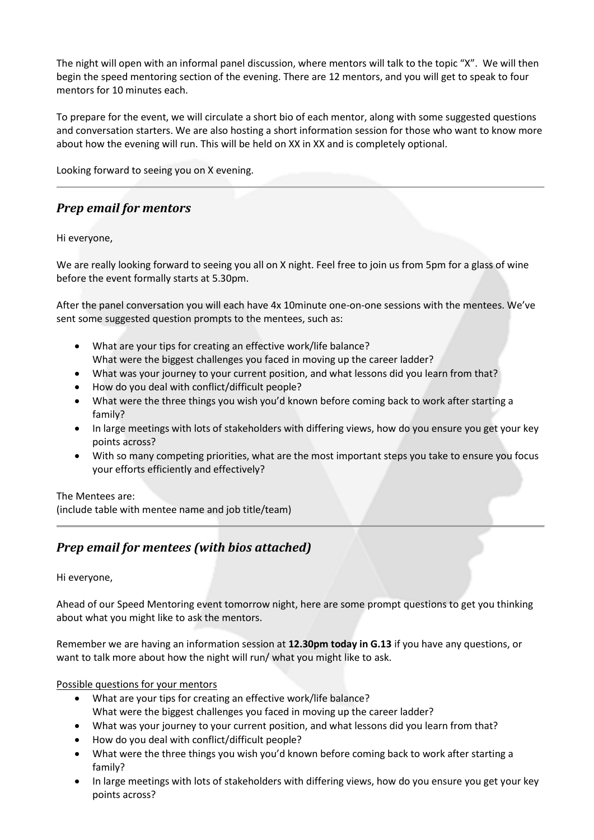The night will open with an informal panel discussion, where mentors will talk to the topic "X". We will then begin the speed mentoring section of the evening. There are 12 mentors, and you will get to speak to four mentors for 10 minutes each.

To prepare for the event, we will circulate a short bio of each mentor, along with some suggested questions and conversation starters. We are also hosting a short information session for those who want to know more about how the evening will run. This will be held on XX in XX and is completely optional.

Looking forward to seeing you on X evening.

### *Prep email for mentors*

Hi everyone,

We are really looking forward to seeing you all on X night. Feel free to join us from 5pm for a glass of wine before the event formally starts at 5.30pm.

After the panel conversation you will each have 4x 10minute one-on-one sessions with the mentees. We've sent some suggested question prompts to the mentees, such as:

- What are your tips for creating an effective work/life balance? What were the biggest challenges you faced in moving up the career ladder?
- What was your journey to your current position, and what lessons did you learn from that?
- How do you deal with conflict/difficult people?
- What were the three things you wish you'd known before coming back to work after starting a family?
- In large meetings with lots of stakeholders with differing views, how do you ensure you get your key points across?
- With so many competing priorities, what are the most important steps you take to ensure you focus your efforts efficiently and effectively?

#### The Mentees are:

(include table with mentee name and job title/team)

## *Prep email for mentees (with bios attached)*

#### Hi everyone,

Ahead of our Speed Mentoring event tomorrow night, here are some prompt questions to get you thinking about what you might like to ask the mentors.

Remember we are having an information session at **12.30pm today in G.13** if you have any questions, or want to talk more about how the night will run/ what you might like to ask.

#### Possible questions for your mentors

- What are your tips for creating an effective work/life balance? What were the biggest challenges you faced in moving up the career ladder?
- What was your journey to your current position, and what lessons did you learn from that?
- How do you deal with conflict/difficult people?
- What were the three things you wish you'd known before coming back to work after starting a family?
- In large meetings with lots of stakeholders with differing views, how do you ensure you get your key points across?